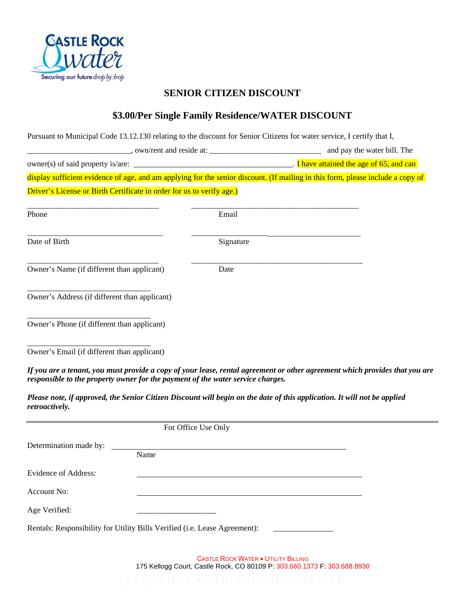

## **SENIOR CITIZEN DISCOUNT**

## **\$3.00/Per Single Family Residence/WATER DISCOUNT**

|                                                                                 |      |                     | Pursuant to Municipal Code 13.12.130 relating to the discount for Senior Citizens for water service, I certify that I,          |
|---------------------------------------------------------------------------------|------|---------------------|---------------------------------------------------------------------------------------------------------------------------------|
|                                                                                 |      |                     |                                                                                                                                 |
|                                                                                 |      |                     |                                                                                                                                 |
|                                                                                 |      |                     | display sufficient evidence of age, and am applying for the senior discount. (If mailing in this form, please include a copy of |
| Driver's License or Birth Certificate in order for us to verify age.)           |      |                     |                                                                                                                                 |
| Phone                                                                           |      | Email               |                                                                                                                                 |
| Date of Birth                                                                   |      | Signature           |                                                                                                                                 |
| Owner's Name (if different than applicant)                                      |      | Date                |                                                                                                                                 |
| Owner's Address (if different than applicant)                                   |      |                     |                                                                                                                                 |
| Owner's Phone (if different than applicant)                                     |      |                     |                                                                                                                                 |
| Owner's Email (if different than applicant)                                     |      |                     |                                                                                                                                 |
| responsible to the property owner for the payment of the water service charges. |      |                     | If you are a tenant, you must provide a copy of your lease, rental agreement or other agreement which provides that you are     |
| retroactively.                                                                  |      |                     | Please note, if approved, the Senior Citizen Discount will begin on the date of this application. It will not be applied        |
|                                                                                 |      | For Office Use Only |                                                                                                                                 |
| Determination made by:                                                          |      |                     |                                                                                                                                 |
|                                                                                 | Name |                     |                                                                                                                                 |
| Evidence of Address:                                                            |      |                     |                                                                                                                                 |
| Account No:                                                                     |      |                     |                                                                                                                                 |
| Age Verified:                                                                   |      |                     |                                                                                                                                 |

Rentals: Responsibility for Utility Bills Verified (i.e. Lease Agreement):

CASTLE ROCK WATER • UTILITY BILLING 175 Kellogg Court, Castle Rock, CO 80109 P: 303.660.1373 F: 303.688.8930